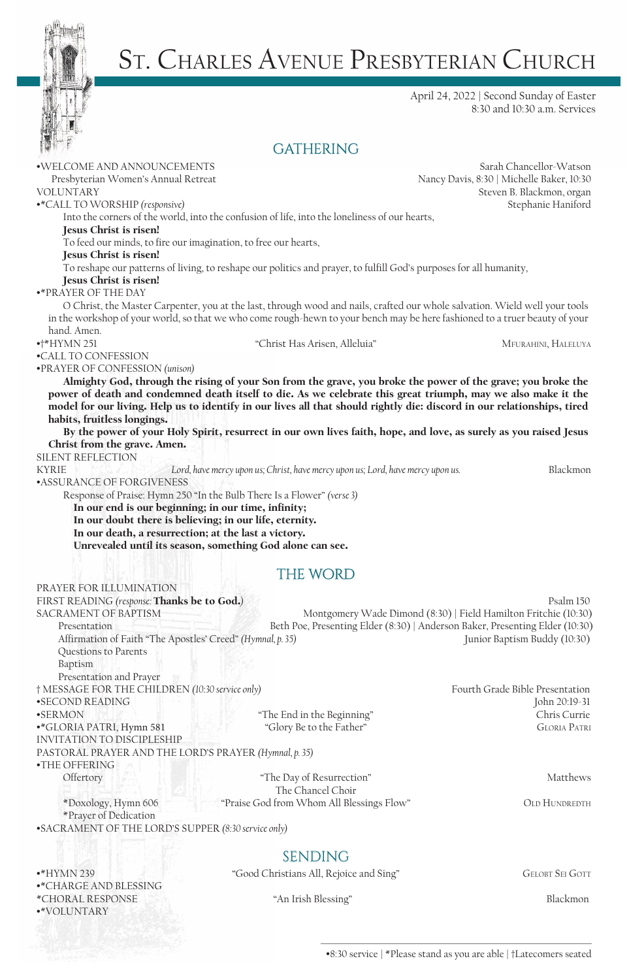

•\*VOLUNTARY

# ST. CHARLES AVENUE PRESBYTERIAN CHURCH

April 24, 2022 | Second Sunday of Easter 8:30 and 10:30 a.m. Services

### **GATHERING**

| ·WELCOME AND ANNOUNCEMENTS                                                                                                                   |                                                                                 | Sarah Chancellor-Watson                                                                                                     |
|----------------------------------------------------------------------------------------------------------------------------------------------|---------------------------------------------------------------------------------|-----------------------------------------------------------------------------------------------------------------------------|
| Presbyterian Women's Annual Retreat                                                                                                          |                                                                                 | Nancy Davis, 8:30   Michelle Baker, 10:30                                                                                   |
| <b>VOLUNTARY</b>                                                                                                                             |                                                                                 | Steven B. Blackmon, organ                                                                                                   |
| •* CALL TO WORSHIP (responsive)                                                                                                              |                                                                                 | Stephanie Haniford                                                                                                          |
| Into the corners of the world, into the confusion of life, into the loneliness of our hearts,                                                |                                                                                 |                                                                                                                             |
| Jesus Christ is risen!                                                                                                                       |                                                                                 |                                                                                                                             |
| To feed our minds, to fire our imagination, to free our hearts,                                                                              |                                                                                 |                                                                                                                             |
| Jesus Christ is risen!<br>To reshape our patterns of living, to reshape our politics and prayer, to fulfill God's purposes for all humanity, |                                                                                 |                                                                                                                             |
| Jesus Christ is risen!                                                                                                                       |                                                                                 |                                                                                                                             |
| <b>.* PRAYER OF THE DAY</b>                                                                                                                  |                                                                                 |                                                                                                                             |
|                                                                                                                                              |                                                                                 | O Christ, the Master Carpenter, you at the last, through wood and nails, crafted our whole salvation. Wield well your tools |
| in the workshop of your world, so that we who come rough-hewn to your bench may be here fashioned to a truer beauty of your                  |                                                                                 |                                                                                                                             |
| hand. Amen.                                                                                                                                  |                                                                                 |                                                                                                                             |
| $\bullet$ †*HYMN 251                                                                                                                         | "Christ Has Arisen, Alleluia"                                                   | MFURAHINI, HALELUYA                                                                                                         |
| •CALL TO CONFESSION                                                                                                                          |                                                                                 |                                                                                                                             |
| •PRAYER OF CONFESSION (unison)                                                                                                               |                                                                                 |                                                                                                                             |
|                                                                                                                                              |                                                                                 | Almighty God, through the rising of your Son from the grave, you broke the power of the grave; you broke the                |
| power of death and condemned death itself to die. As we celebrate this great triumph, may we also make it the                                |                                                                                 |                                                                                                                             |
| model for our living. Help us to identify in our lives all that should rightly die: discord in our relationships, tired                      |                                                                                 |                                                                                                                             |
| habits, fruitless longings.                                                                                                                  |                                                                                 |                                                                                                                             |
|                                                                                                                                              |                                                                                 | By the power of your Holy Spirit, resurrect in our own lives faith, hope, and love, as surely as you raised Jesus           |
| Christ from the grave. Amen.                                                                                                                 |                                                                                 |                                                                                                                             |
| SILENT REFLECTION                                                                                                                            |                                                                                 |                                                                                                                             |
| <b>KYRIE</b>                                                                                                                                 | Lord, have mercy upon us; Christ, have mercy upon us; Lord, have mercy upon us. | Blackmon                                                                                                                    |
| <b>•ASSURANCE OF FORGIVENESS</b>                                                                                                             |                                                                                 |                                                                                                                             |
| Response of Praise: Hymn 250 "In the Bulb There Is a Flower" (verse 3)                                                                       |                                                                                 |                                                                                                                             |
| In our end is our beginning; in our time, infinity;                                                                                          |                                                                                 |                                                                                                                             |
| In our doubt there is believing; in our life, eternity.                                                                                      |                                                                                 |                                                                                                                             |
| In our death, a resurrection; at the last a victory.                                                                                         |                                                                                 |                                                                                                                             |
| Unrevealed until its season, something God alone can see.                                                                                    |                                                                                 |                                                                                                                             |
|                                                                                                                                              | THE WORD                                                                        |                                                                                                                             |
| PRAYER FOR ILLUMINATION                                                                                                                      |                                                                                 |                                                                                                                             |
| FIRST READING (response: Thanks be to God.)                                                                                                  |                                                                                 | Psalm 150                                                                                                                   |
| <b>SACRAMENT OF BAPTISM</b>                                                                                                                  |                                                                                 | Montgomery Wade Dimond (8:30)   Field Hamilton Fritchie (10:30)                                                             |
| Presentation                                                                                                                                 |                                                                                 | Beth Poe, Presenting Elder (8:30)   Anderson Baker, Presenting Elder (10:30)                                                |
| Affirmation of Faith "The Apostles' Creed" (Hymnal, p. 35)                                                                                   |                                                                                 | Junior Baptism Buddy (10:30)                                                                                                |
| Questions to Parents                                                                                                                         |                                                                                 |                                                                                                                             |
| Baptism                                                                                                                                      |                                                                                 |                                                                                                                             |
| Presentation and Prayer                                                                                                                      |                                                                                 |                                                                                                                             |
| † MESSAGE FOR THE CHILDREN (10:30 service only)                                                                                              |                                                                                 | Fourth Grade Bible Presentation                                                                                             |
| •SECOND READING                                                                                                                              |                                                                                 | John 20:19-31                                                                                                               |
| <b>•SERMON</b>                                                                                                                               | "The End in the Beginning"                                                      | Chris Currie                                                                                                                |
| •*GLORIA PATRI, Hymn 581                                                                                                                     | "Glory Be to the Father"                                                        | <b>GLORIA PATRI</b>                                                                                                         |
| <b>INVITATION TO DISCIPLESHIP</b>                                                                                                            |                                                                                 |                                                                                                                             |
| PASTORAL PRAYER AND THE LORD'S PRAYER (Hymnal, p. 35)                                                                                        |                                                                                 |                                                                                                                             |
| •THE OFFERING                                                                                                                                |                                                                                 |                                                                                                                             |
| Offertory                                                                                                                                    | "The Day of Resurrection"                                                       | Matthews                                                                                                                    |
|                                                                                                                                              | The Chancel Choir                                                               |                                                                                                                             |
| *Doxology, Hymn 606                                                                                                                          | "Praise God from Whom All Blessings Flow"                                       | <b>OLD HUNDREDTH</b>                                                                                                        |
| *Prayer of Dedication                                                                                                                        |                                                                                 |                                                                                                                             |
| •SACRAMENT OF THE LORD'S SUPPER (8:30 service only)                                                                                          |                                                                                 |                                                                                                                             |
|                                                                                                                                              |                                                                                 |                                                                                                                             |
|                                                                                                                                              |                                                                                 |                                                                                                                             |
| $\bullet$ *HYMN 239                                                                                                                          | <b>SENDING</b><br>"Good Christians All, Rejoice and Sing"                       | <b>GELOBT SEI GOTT</b>                                                                                                      |

\*CHORAL RESPONSE "An Irish Blessing" Blackmon